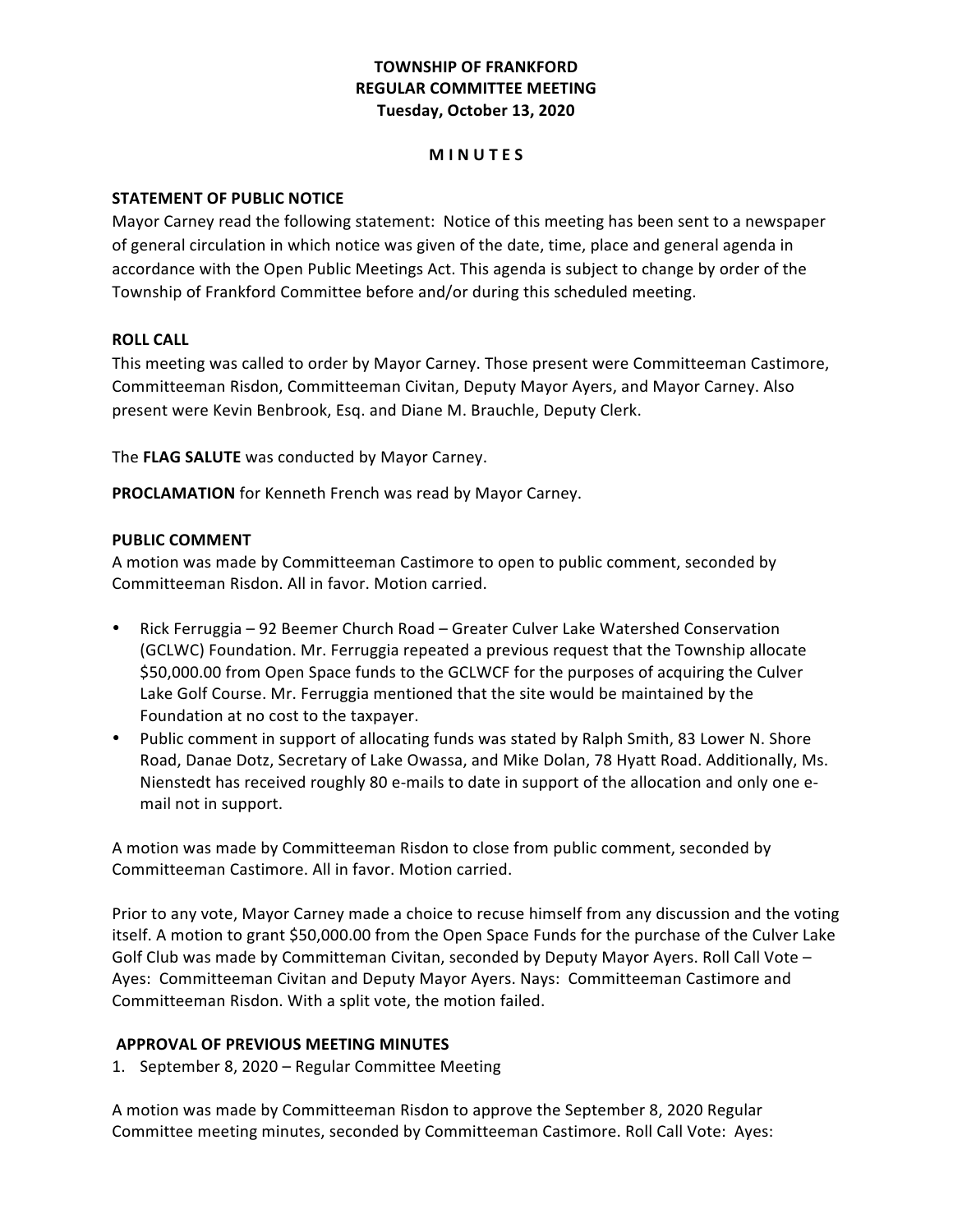## **TOWNSHIP OF FRANKFORD REGULAR COMMITTEE MEETING Tuesday, October 13, 2020**

#### **M I N U T E S**

### **STATEMENT OF PUBLIC NOTICE**

 Mayor Carney read the following statement: Notice of this meeting has been sent to a newspaper of general circulation in which notice was given of the date, time, place and general agenda in accordance with the Open Public Meetings Act. This agenda is subject to change by order of the Township of Frankford Committee before and/or during this scheduled meeting.

#### **ROLL CALL**

This meeting was called to order by Mayor Carney. Those present were Committeeman Castimore, Committeeman Risdon, Committeeman Civitan, Deputy Mayor Ayers, and Mayor Carney. Also present were Kevin Benbrook, Esq. and Diane M. Brauchle, Deputy Clerk.

 The **FLAG SALUTE** was conducted by Mayor Carney.

PROCLAMATION for Kenneth French was read by Mayor Carney.

### **PUBLIC COMMENT**

A motion was made by Committeeman Castimore to open to public comment, seconded by Committeeman Risdon. All in favor. Motion carried.

- Rick Ferruggia 92 Beemer Church Road Greater Culver Lake Watershed Conservation (GCLWC) Foundation. Mr. Ferruggia repeated a previous request that the Township allocate \$50,000.00 from Open Space funds to the GCLWCF for the purposes of acquiring the Culver Lake Golf Course. Mr. Ferruggia mentioned that the site would be maintained by the Foundation at no cost to the taxpayer.
- Public comment in support of allocating funds was stated by Ralph Smith, 83 Lower N. Shore Road, Danae Dotz, Secretary of Lake Owassa, and Mike Dolan, 78 Hyatt Road. Additionally, Ms. Nienstedt has received roughly 80 e-mails to date in support of the allocation and only one e- mail not in support.

A motion was made by Committeeman Risdon to close from public comment, seconded by Committeeman Castimore. All in favor. Motion carried.

Prior to any vote, Mayor Carney made a choice to recuse himself from any discussion and the voting itself. A motion to grant \$50,000.00 from the Open Space Funds for the purchase of the Culver Lake Golf Club was made by Committeman Civitan, seconded by Deputy Mayor Ayers. Roll Call Vote -Ayes: Committeeman Civitan and Deputy Mayor Ayers. Nays: Committeeman Castimore and Committeeman Risdon. With a split vote, the motion failed.

#### **APPROVAL OF PREVIOUS MEETING MINUTES**

1. September 8, 2020 - Regular Committee Meeting

A motion was made by Committeeman Risdon to approve the September 8, 2020 Regular Committee meeting minutes, seconded by Committeeman Castimore. Roll Call Vote: Ayes: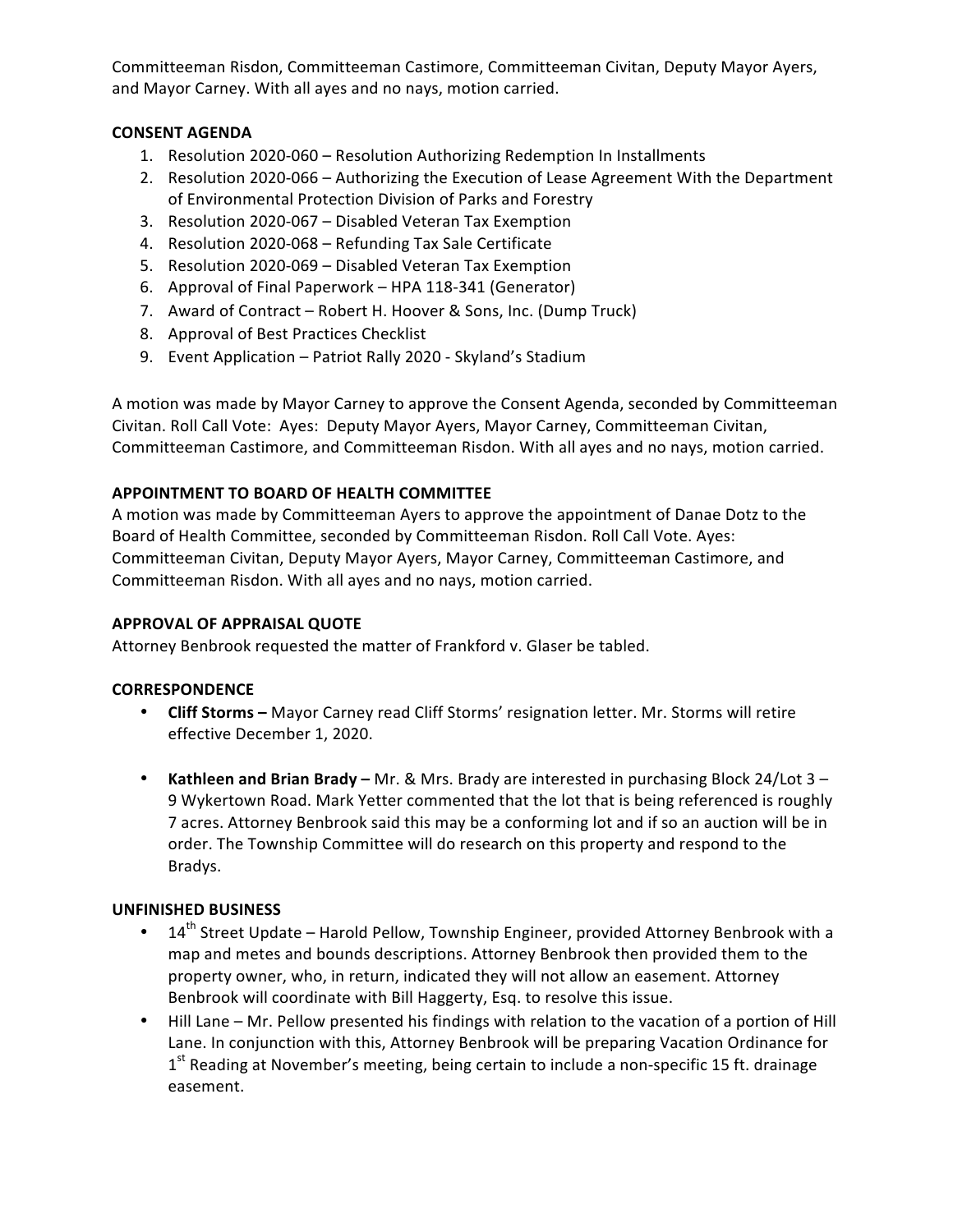Committeeman Risdon, Committeeman Castimore, Committeeman Civitan, Deputy Mayor Ayers, and Mayor Carney. With all ayes and no nays, motion carried.

## **CONSENT AGENDA**

- 1. Resolution 2020-060 Resolution Authorizing Redemption In Installments
- 2. Resolution 2020-066 Authorizing the Execution of Lease Agreement With the Department of Environmental Protection Division of Parks and Forestry
- 3. Resolution 2020-067 Disabled Veteran Tax Exemption
- 4. Resolution 2020-068 Refunding Tax Sale Certificate
- 5. Resolution 2020-069 Disabled Veteran Tax Exemption
- 6. Approval of Final Paperwork HPA 118-341 (Generator)
- 7. Award of Contract Robert H. Hoover & Sons, Inc. (Dump Truck)
- 8. Approval of Best Practices Checklist
- 9. Event Application Patriot Rally 2020 Skyland's Stadium

A motion was made by Mayor Carney to approve the Consent Agenda, seconded by Committeeman Civitan. Roll Call Vote: Ayes: Deputy Mayor Ayers, Mayor Carney, Committeeman Civitan, Committeeman Castimore, and Committeeman Risdon. With all ayes and no nays, motion carried.

## **APPOINTMENT TO BOARD OF HEALTH COMMITTEE**

A motion was made by Committeeman Ayers to approve the appointment of Danae Dotz to the Board of Health Committee, seconded by Committeeman Risdon. Roll Call Vote. Ayes: Committeeman Civitan, Deputy Mayor Ayers, Mayor Carney, Committeeman Castimore, and Committeeman Risdon. With all ayes and no nays, motion carried.

## **APPROVAL OF APPRAISAL QUOTE**

 Attorney Benbrook requested the matter of Frankford v. Glaser be tabled.

## **CORRESPONDENCE**

- **Cliff Storms** Mayor Carney read Cliff Storms' resignation letter. Mr. Storms will retire effective December 1, 2020.
- **Kathleen and Brian Brady** Mr. & Mrs. Brady are interested in purchasing Block 24/Lot 3 9 Wykertown Road. Mark Yetter commented that the lot that is being referenced is roughly 7 acres. Attorney Benbrook said this may be a conforming lot and if so an auction will be in order. The Township Committee will do research on this property and respond to the Bradys.

## **UNFINISHED BUSINESS**

- $14<sup>th</sup>$  Street Update Harold Pellow, Township Engineer, provided Attorney Benbrook with a map and metes and bounds descriptions. Attorney Benbrook then provided them to the property owner, who, in return, indicated they will not allow an easement. Attorney Benbrook will coordinate with Bill Haggerty, Esq. to resolve this issue.
- Hill Lane Mr. Pellow presented his findings with relation to the vacation of a portion of Hill Lane. In conjunction with this, Attorney Benbrook will be preparing Vacation Ordinance for  $1<sup>st</sup>$  Reading at November's meeting, being certain to include a non-specific 15 ft. drainage easement.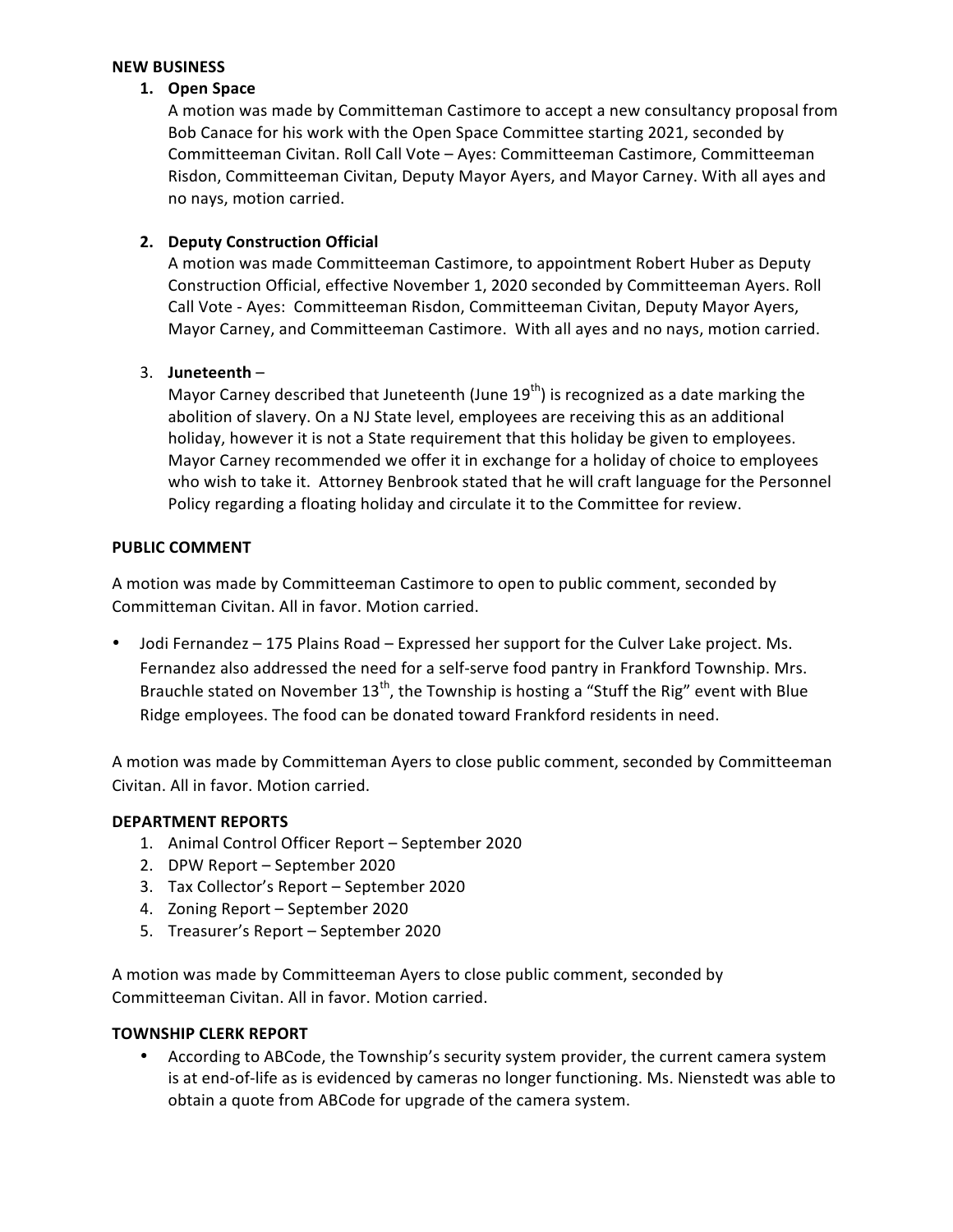#### **NEW BUSINESS**

#### **1. Open Space**

A motion was made by Committeman Castimore to accept a new consultancy proposal from Bob Canace for his work with the Open Space Committee starting 2021, seconded by Committeeman Civitan. Roll Call Vote - Ayes: Committeeman Castimore, Committeeman Risdon, Committeeman Civitan, Deputy Mayor Ayers, and Mayor Carney. With all ayes and no nays, motion carried.

### **2. Deputy Construction Official**

A motion was made Committeeman Castimore, to appointment Robert Huber as Deputy Construction Official, effective November 1, 2020 seconded by Committeeman Ayers. Roll Call Vote - Ayes: Committeeman Risdon, Committeeman Civitan, Deputy Mayor Ayers, Mayor Carney, and Committeeman Castimore. With all ayes and no nays, motion carried.

### 3. **Juneteenth** –

Mayor Carney described that Juneteenth (June  $19^{th}$ ) is recognized as a date marking the abolition of slavery. On a NJ State level, employees are receiving this as an additional holiday, however it is not a State requirement that this holiday be given to employees. Mayor Carney recommended we offer it in exchange for a holiday of choice to employees who wish to take it. Attorney Benbrook stated that he will craft language for the Personnel Policy regarding a floating holiday and circulate it to the Committee for review.

### **PUBLIC COMMENT**

A motion was made by Committeeman Castimore to open to public comment, seconded by Committeman Civitan. All in favor. Motion carried.

• Jodi Fernandez – 175 Plains Road – Expressed her support for the Culver Lake project. Ms. Fernandez also addressed the need for a self-serve food pantry in Frankford Township. Mrs. Ridge employees. The food can be donated toward Frankford residents in need. Brauchle stated on November 13<sup>th</sup>, the Township is hosting a "Stuff the Rig" event with Blue

A motion was made by Committeman Ayers to close public comment, seconded by Committeeman Civitan. All in favor. Motion carried.

#### **DEPARTMENT REPORTS**

- 1. Animal Control Officer Report September 2020
- 2. DPW Report September 2020
- 3. Tax Collector's Report September 2020
- 4. Zoning Report September 2020
- 5. Treasurer's Report September 2020

A motion was made by Committeeman Ayers to close public comment, seconded by Committeeman Civitan. All in favor. Motion carried.

#### **TOWNSHIP CLERK REPORT**

• According to ABCode, the Township's security system provider, the current camera system is at end-of-life as is evidenced by cameras no longer functioning. Ms. Nienstedt was able to obtain a quote from ABCode for upgrade of the camera system.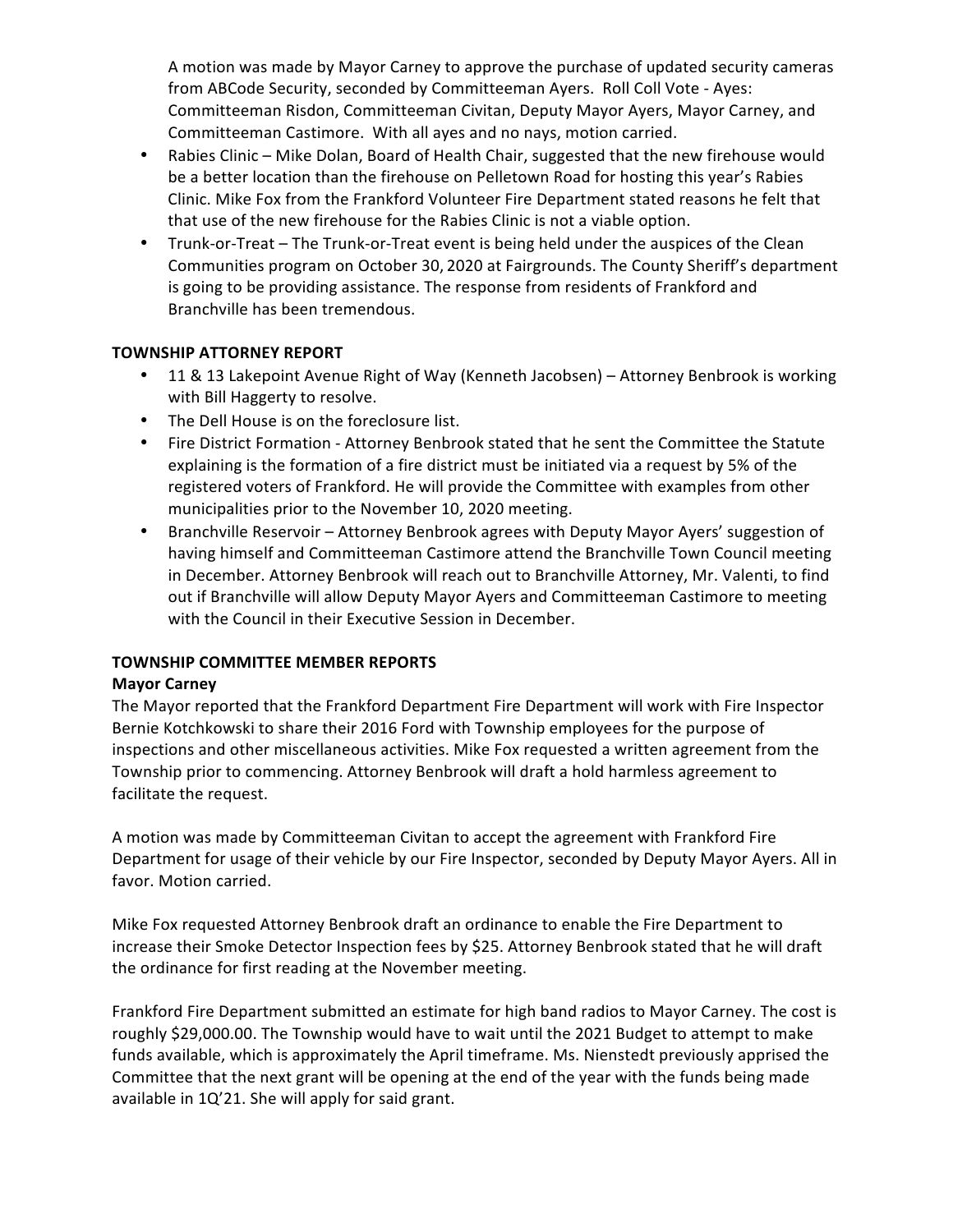A motion was made by Mayor Carney to approve the purchase of updated security cameras from ABCode Security, seconded by Committeeman Ayers. Roll Coll Vote - Ayes: Committeeman Risdon, Committeeman Civitan, Deputy Mayor Ayers, Mayor Carney, and Committeeman Castimore. With all ayes and no nays, motion carried.

- Rabies Clinic Mike Dolan, Board of Health Chair, suggested that the new firehouse would be a better location than the firehouse on Pelletown Road for hosting this year's Rabies Clinic. Mike Fox from the Frankford Volunteer Fire Department stated reasons he felt that that use of the new firehouse for the Rabies Clinic is not a viable option.
- Trunk-or-Treat The Trunk-or-Treat event is being held under the auspices of the Clean Communities program on October 30, 2020 at Fairgrounds. The County Sheriff's department is going to be providing assistance. The response from residents of Frankford and Branchville has been tremendous.

## **TOWNSHIP ATTORNEY REPORT**

- 11 & 13 Lakepoint Avenue Right of Way (Kenneth Jacobsen) Attorney Benbrook is working with Bill Haggerty to resolve.
- • The Dell House is on the foreclosure list.
- Fire District Formation Attorney Benbrook stated that he sent the Committee the Statute explaining is the formation of a fire district must be initiated via a request by 5% of the registered voters of Frankford. He will provide the Committee with examples from other municipalities prior to the November 10, 2020 meeting.
- Branchville Reservoir Attorney Benbrook agrees with Deputy Mayor Ayers' suggestion of having himself and Committeeman Castimore attend the Branchville Town Council meeting in December. Attorney Benbrook will reach out to Branchville Attorney, Mr. Valenti, to find out if Branchville will allow Deputy Mayor Ayers and Committeeman Castimore to meeting with the Council in their Executive Session in December.

## **TOWNSHIP COMMITTEE MEMBER REPORTS**

## **Mayor Carney**

The Mayor reported that the Frankford Department Fire Department will work with Fire Inspector Bernie Kotchkowski to share their 2016 Ford with Township employees for the purpose of inspections and other miscellaneous activities. Mike Fox requested a written agreement from the Township prior to commencing. Attorney Benbrook will draft a hold harmless agreement to facilitate the request.

A motion was made by Committeeman Civitan to accept the agreement with Frankford Fire Department for usage of their vehicle by our Fire Inspector, seconded by Deputy Mayor Ayers. All in favor. Motion carried.

 Mike Fox requested Attorney Benbrook draft an ordinance to enable the Fire Department to increase their Smoke Detector Inspection fees by \$25. Attorney Benbrook stated that he will draft the ordinance for first reading at the November meeting.

Frankford Fire Department submitted an estimate for high band radios to Mayor Carney. The cost is roughly \$29,000.00. The Township would have to wait until the 2021 Budget to attempt to make funds available, which is approximately the April timeframe. Ms. Nienstedt previously apprised the Committee that the next grant will be opening at the end of the year with the funds being made available in 1Q'21. She will apply for said grant.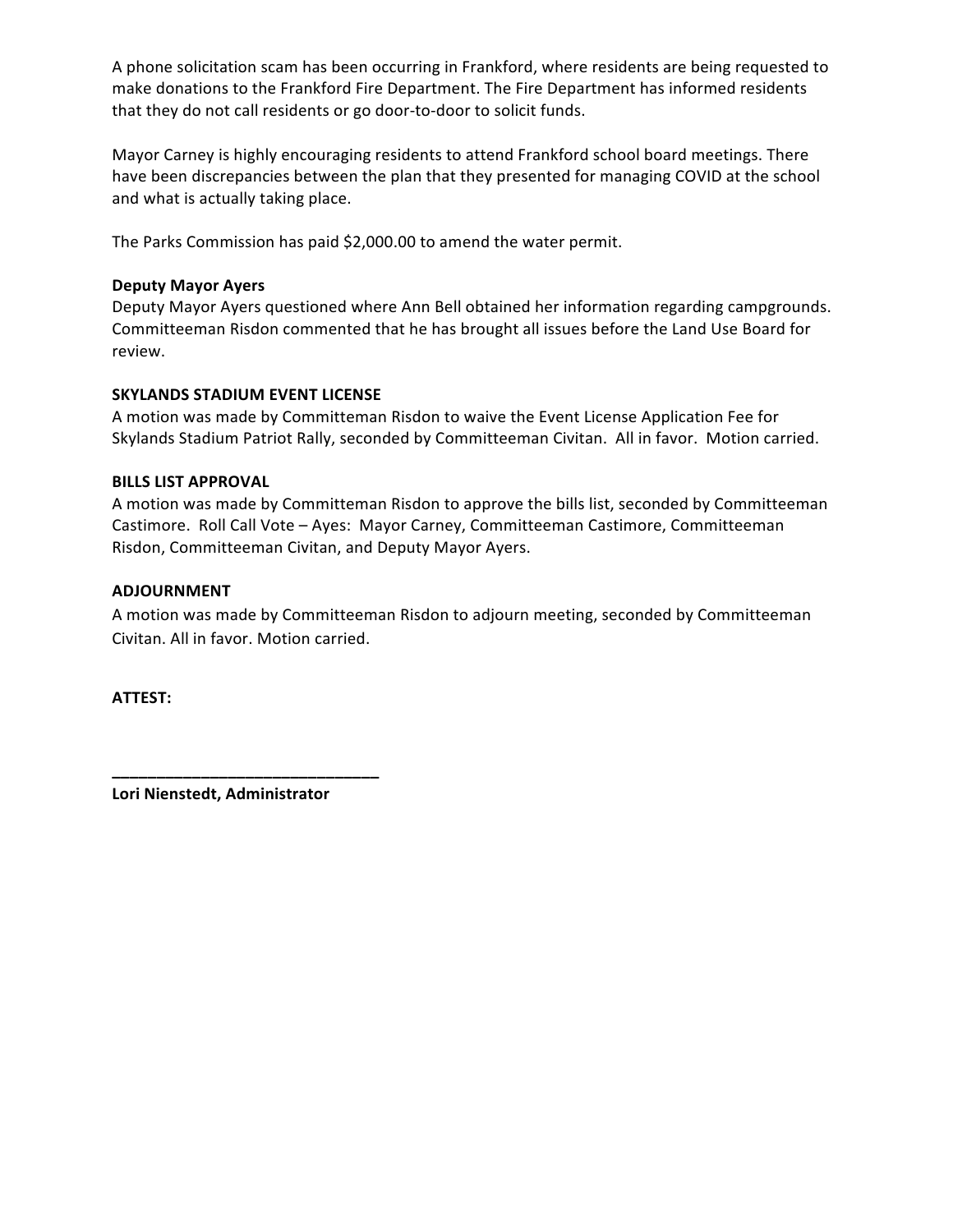A phone solicitation scam has been occurring in Frankford, where residents are being requested to make donations to the Frankford Fire Department. The Fire Department has informed residents that they do not call residents or go door-to-door to solicit funds.

 Mayor Carney is highly encouraging residents to attend Frankford school board meetings. There have been discrepancies between the plan that they presented for managing COVID at the school and what is actually taking place.

The Parks Commission has paid \$2,000.00 to amend the water permit.

### **Deputy Mayor Ayers**

Deputy Mayor Ayers questioned where Ann Bell obtained her information regarding campgrounds. Committeeman Risdon commented that he has brought all issues before the Land Use Board for review.

## **SKYLANDS STADIUM EVENT LICENSE**

A motion was made by Committeman Risdon to waive the Event License Application Fee for Skylands Stadium Patriot Rally, seconded by Committeeman Civitan. All in favor. Motion carried.

### **BILLS LIST APPROVAL**

A motion was made by Committeman Risdon to approve the bills list, seconded by Committeeman Castimore. Roll Call Vote - Ayes: Mayor Carney, Committeeman Castimore, Committeeman Risdon, Committeeman Civitan, and Deputy Mayor Ayers.

### **ADJOURNMENT**

A motion was made by Committeeman Risdon to adjourn meeting, seconded by Committeeman Civitan. All in favor. Motion carried.

**ATTEST:**

 **Lori Nienstedt, Administrator**

**\_\_\_\_\_\_\_\_\_\_\_\_\_\_\_\_\_\_\_\_\_\_\_\_\_\_\_\_\_\_**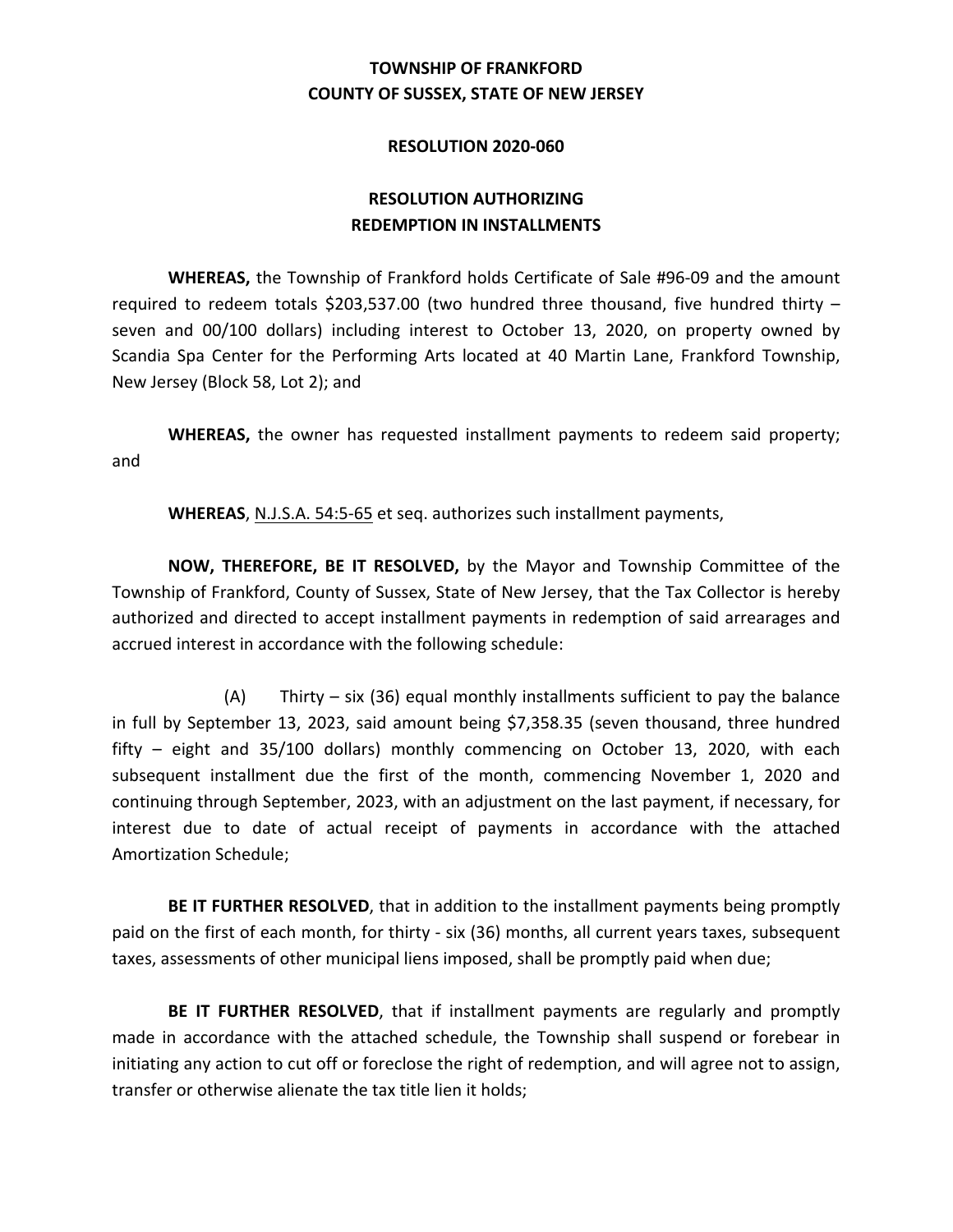#### **RESOLUTION 2020-060**

# **REDEMPTION IN INSTALLMENTS RESOLUTION AUTHORIZING**

 **WHEREAS,** the Township of Frankford holds Certificate of Sale #96-09 and the amount required to redeem totals \$203,537.00 (two hundred three thousand, five hundred thirty – seven and 00/100 dollars) including interest to October 13, 2020, on property owned by Scandia Spa Center for the Performing Arts located at 40 Martin Lane, Frankford Township, New Jersey (Block 58, Lot 2); and

WHEREAS, the owner has requested installment payments to redeem said property; and

WHEREAS, N.J.S.A. 54:5-65 et seq. authorizes such installment payments,

**NOW, THEREFORE, BE IT RESOLVED,** by the Mayor and Township Committee of the Township of Frankford, County of Sussex, State of New Jersey, that the Tax Collector is hereby authorized and directed to accept installment payments in redemption of said arrearages and accrued interest in accordance with the following schedule:

(A) Thirty – six (36) equal monthly installments sufficient to pay the balance in full by September 13, 2023, said amount being \$7,358.35 (seven thousand, three hundred fifty – eight and 35/100 dollars) monthly commencing on October 13, 2020, with each subsequent installment due the first of the month, commencing November 1, 2020 and continuing through September, 2023, with an adjustment on the last payment, if necessary, for interest due to date of actual receipt of payments in accordance with the attached Amortization Schedule;

BE IT FURTHER RESOLVED, that in addition to the installment payments being promptly paid on the first of each month, for thirty - six (36) months, all current years taxes, subsequent taxes, assessments of other municipal liens imposed, shall be promptly paid when due;

BE IT FURTHER RESOLVED, that if installment payments are regularly and promptly made in accordance with the attached schedule, the Township shall suspend or forebear in initiating any action to cut off or foreclose the right of redemption, and will agree not to assign, transfer or otherwise alienate the tax title lien it holds;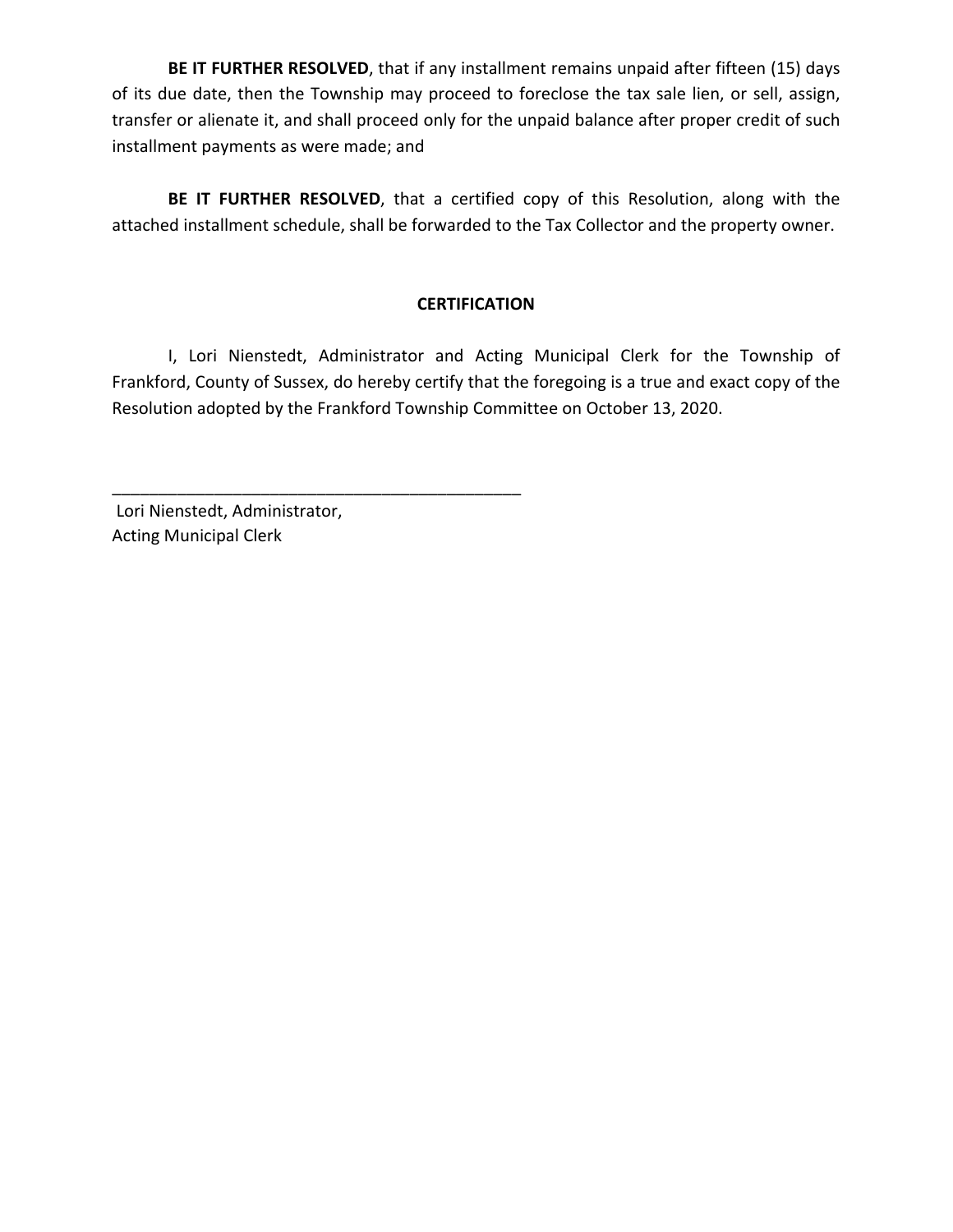BE IT FURTHER RESOLVED, that if any installment remains unpaid after fifteen (15) days of its due date, then the Township may proceed to foreclose the tax sale lien, or sell, assign, transfer or alienate it, and shall proceed only for the unpaid balance after proper credit of such installment payments as were made; and

BE IT FURTHER RESOLVED, that a certified copy of this Resolution, along with the attached installment schedule, shall be forwarded to the Tax Collector and the property owner.

# **CERTIFICATION**

 I, Lori Nienstedt, Administrator and Acting Municipal Clerk for the Township of Frankford, County of Sussex, do hereby certify that the foregoing is a true and exact copy of the Resolution adopted by the Frankford Township Committee on October 13, 2020.

 Lori Nienstedt, Administrator, Acting Municipal Clerk

\_\_\_\_\_\_\_\_\_\_\_\_\_\_\_\_\_\_\_\_\_\_\_\_\_\_\_\_\_\_\_\_\_\_\_\_\_\_\_\_\_\_\_\_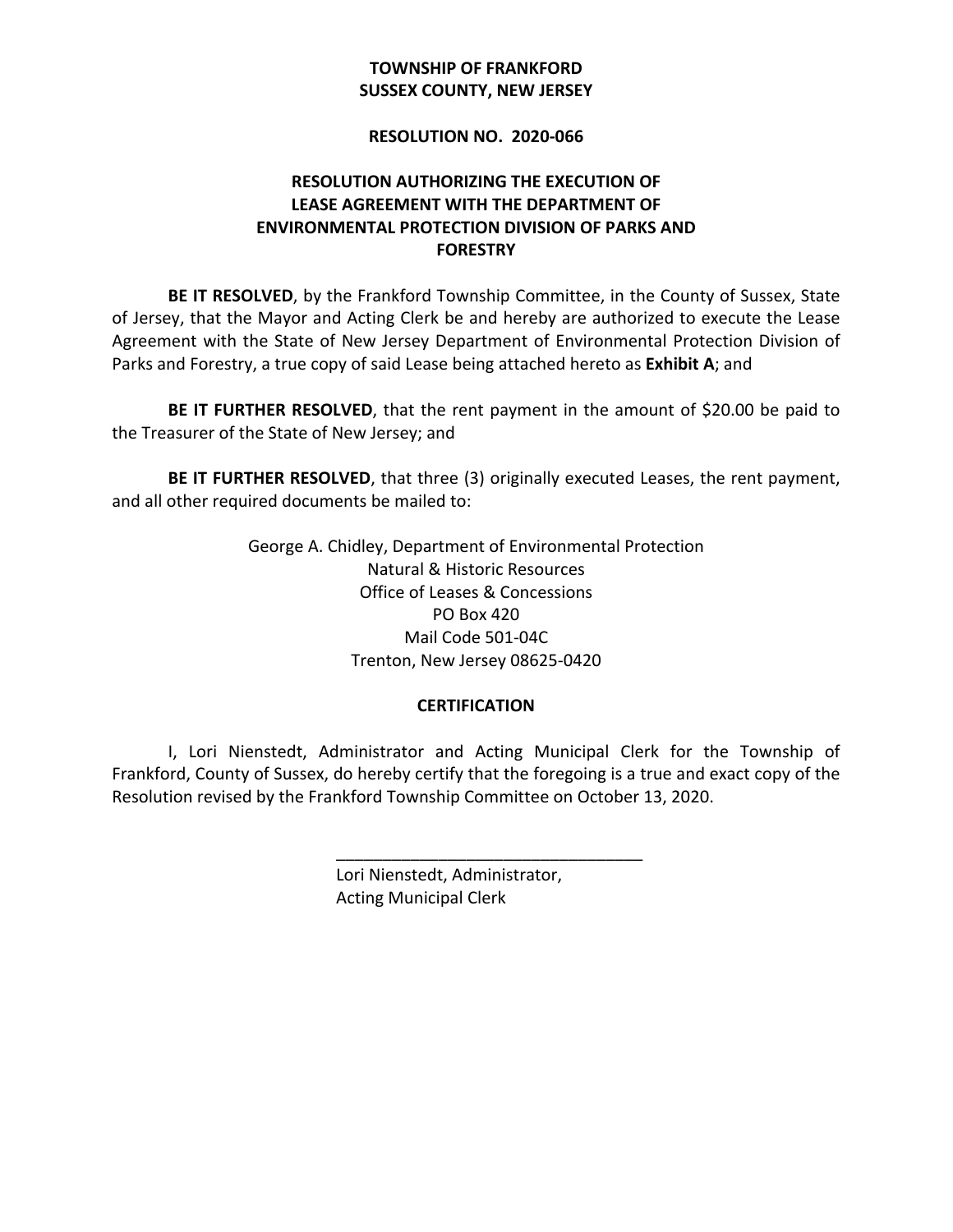# **SUSSEX COUNTY, NEW JERSEY TOWNSHIP OF FRANKFORD**

#### **RESOLUTION NO. 2020-066**

# **RESOLUTION AUTHORIZING THE EXECUTION OF LEASE AGREEMENT WITH THE DEPARTMENT OF ENVIRONMENTAL PROTECTION DIVISION OF PARKS AND FORESTRY**

BE IT RESOLVED, by the Frankford Township Committee, in the County of Sussex, State of Jersey, that the Mayor and Acting Clerk be and hereby are authorized to execute the Lease Agreement with the State of New Jersey Department of Environmental Protection Division of Parks and Forestry, a true copy of said Lease being attached hereto as Exhibit A; and

BE IT FURTHER RESOLVED, that the rent payment in the amount of \$20.00 be paid to the Treasurer of the State of New Jersey; and

BE IT FURTHER RESOLVED, that three (3) originally executed Leases, the rent payment, and all other required documents be mailed to:

> George A. Chidley, Department of Environmental Protection Natural & Historic Resources Office of Leases & Concessions Mail Code 501-04C Trenton, New Jersey 08625-0420 PO Box 420

## **CERTIFICATION**

 I, Lori Nienstedt, Administrator and Acting Municipal Clerk for the Township of Frankford, County of Sussex, do hereby certify that the foregoing is a true and exact copy of the Resolution revised by the Frankford Township Committee on October 13, 2020.

\_\_\_\_\_\_\_\_\_\_\_\_\_\_\_\_\_\_\_\_\_\_\_\_\_\_\_\_\_\_\_\_\_

 Lori Nienstedt, Administrator, Acting Municipal Clerk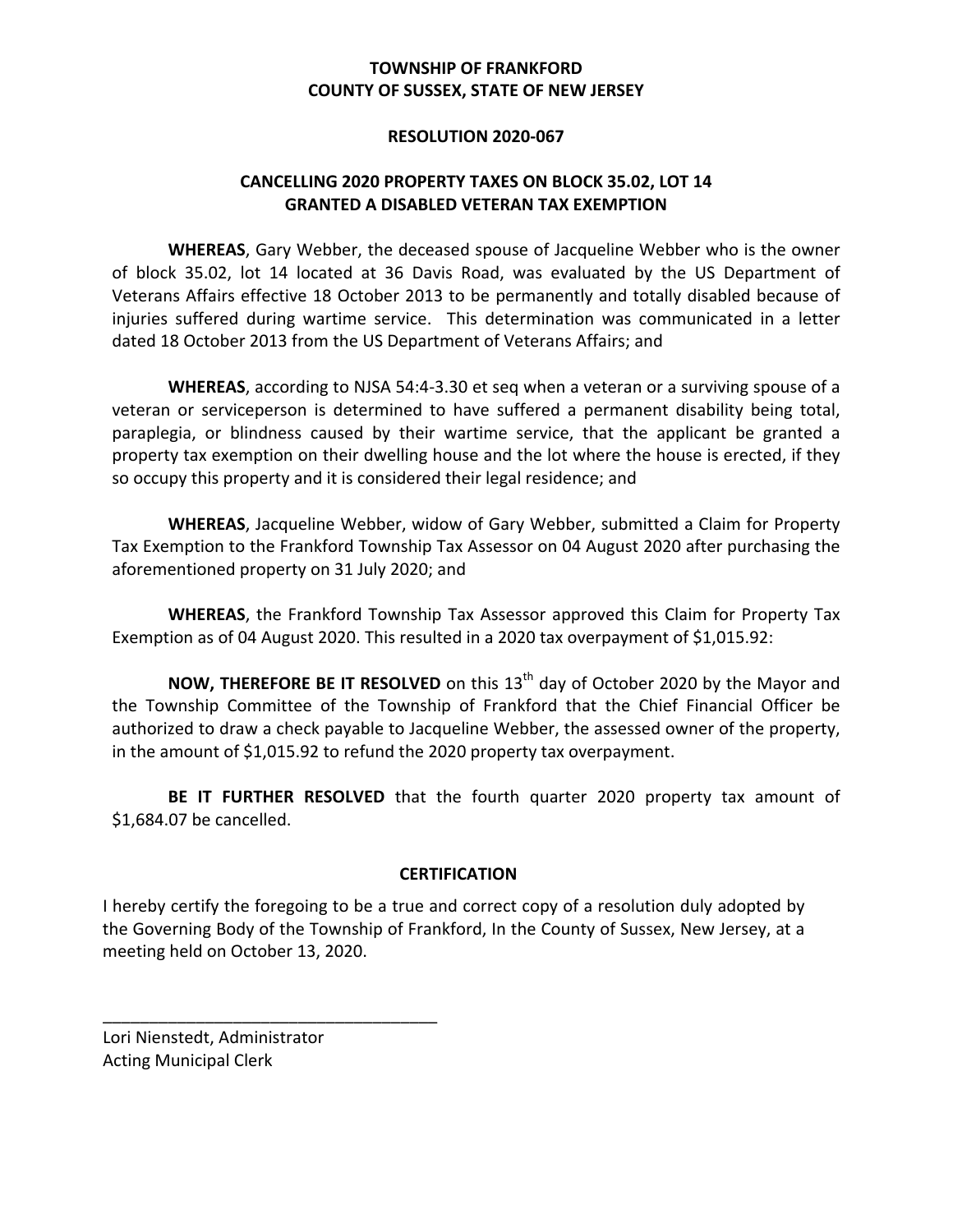### **RESOLUTION 2020-067**

# **CANCELLING 2020 PROPERTY TAXES ON BLOCK 35.02, LOT 14 GRANTED A DISABLED VETERAN TAX EXEMPTION**

 **WHEREAS**, Gary Webber, the deceased spouse of Jacqueline Webber who is the owner of block 35.02, lot 14 located at 36 Davis Road, was evaluated by the US Department of Veterans Affairs effective 18 October 2013 to be permanently and totally disabled because of injuries suffered during wartime service. This determination was communicated in a letter dated 18 October 2013 from the US Department of Veterans Affairs; and

WHEREAS, according to NJSA 54:4-3.30 et seq when a veteran or a surviving spouse of a veteran or serviceperson is determined to have suffered a permanent disability being total, paraplegia, or blindness caused by their wartime service, that the applicant be granted a property tax exemption on their dwelling house and the lot where the house is erected, if they so occupy this property and it is considered their legal residence; and

WHEREAS, Jacqueline Webber, widow of Gary Webber, submitted a Claim for Property Tax Exemption to the Frankford Township Tax Assessor on 04 August 2020 after purchasing the aforementioned property on 31 July 2020; and

 **WHEREAS**, the Frankford Township Tax Assessor approved this Claim for Property Tax Exemption as of 04 August 2020. This resulted in a 2020 tax overpayment of \$1,015.92:

**NOW, THEREFORE BE IT RESOLVED** on this 13<sup>th</sup> day of October 2020 by the Mayor and the Township Committee of the Township of Frankford that the Chief Financial Officer be authorized to draw a check payable to Jacqueline Webber, the assessed owner of the property, in the amount of \$1,015.92 to refund the 2020 property tax overpayment.

BE IT FURTHER RESOLVED that the fourth quarter 2020 property tax amount of \$1,684.07 be cancelled.

## **CERTIFICATION**

I hereby certify the foregoing to be a true and correct copy of a resolution duly adopted by the Governing Body of the Township of Frankford, In the County of Sussex, New Jersey, at a meeting held on October 13, 2020.

 Lori Nienstedt, Administrator Acting Municipal Clerk

\_\_\_\_\_\_\_\_\_\_\_\_\_\_\_\_\_\_\_\_\_\_\_\_\_\_\_\_\_\_\_\_\_\_\_\_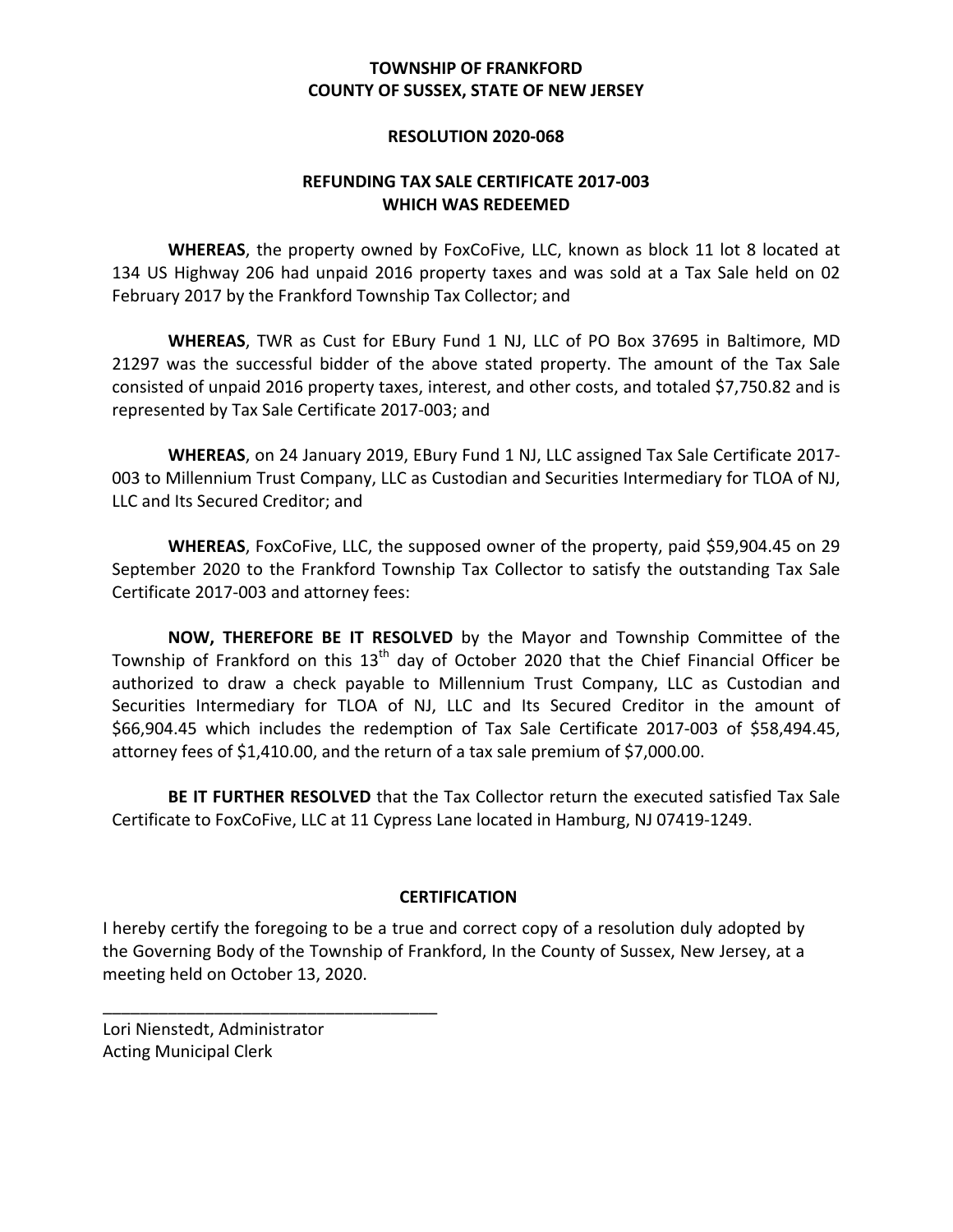### **RESOLUTION 2020-068**

# **REFUNDING TAX SALE CERTIFICATE 2017-003 WHICH WAS REDEEMED**

 **WHEREAS**, the property owned by FoxCoFive, LLC, known as block 11 lot 8 located at 134 US Highway 206 had unpaid 2016 property taxes and was sold at a Tax Sale held on 02 February 2017 by the Frankford Township Tax Collector; and

 **WHEREAS**, TWR as Cust for EBury Fund 1 NJ, LLC of PO Box 37695 in Baltimore, MD 21297 was the successful bidder of the above stated property. The amount of the Tax Sale consisted of unpaid 2016 property taxes, interest, and other costs, and totaled \$7,750.82 and is represented by Tax Sale Certificate 2017-003; and

 **WHEREAS**, on 24 January 2019, EBury Fund 1 NJ, LLC assigned Tax Sale Certificate 2017- 003 to Millennium Trust Company, LLC as Custodian and Securities Intermediary for TLOA of NJ, LLC and Its Secured Creditor; and

 **WHEREAS**, FoxCoFive, LLC, the supposed owner of the property, paid \$59,904.45 on 29 September 2020 to the Frankford Township Tax Collector to satisfy the outstanding Tax Sale Certificate 2017-003 and attorney fees:

**NOW, THEREFORE BE IT RESOLVED** by the Mayor and Township Committee of the Township of Frankford on this  $13^{\text{th}}$  day of October 2020 that the Chief Financial Officer be authorized to draw a check payable to Millennium Trust Company, LLC as Custodian and Securities Intermediary for TLOA of NJ, LLC and Its Secured Creditor in the amount of \$66,904.45 which includes the redemption of Tax Sale Certificate 2017-003 of \$58,494.45, attorney fees of \$1,410.00, and the return of a tax sale premium of \$7,000.00.

BE IT FURTHER RESOLVED that the Tax Collector return the executed satisfied Tax Sale Certificate to FoxCoFive, LLC at 11 Cypress Lane located in Hamburg, NJ 07419-1249.

## **CERTIFICATION**

I hereby certify the foregoing to be a true and correct copy of a resolution duly adopted by the Governing Body of the Township of Frankford, In the County of Sussex, New Jersey, at a meeting held on October 13, 2020.

 Lori Nienstedt, Administrator Acting Municipal Clerk

\_\_\_\_\_\_\_\_\_\_\_\_\_\_\_\_\_\_\_\_\_\_\_\_\_\_\_\_\_\_\_\_\_\_\_\_